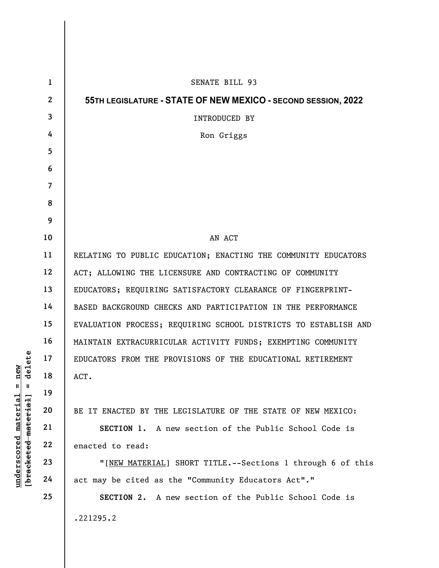| delete<br>new<br>$^{\mathsf{II}}$<br>Ш<br>[bracketed material]<br><u>material</u><br><u>underscored</u> | $\mathbf{1}$   | <b>SENATE BILL 93</b>                                           |
|---------------------------------------------------------------------------------------------------------|----------------|-----------------------------------------------------------------|
|                                                                                                         | $\mathbf{2}$   | 55TH LEGISLATURE - STATE OF NEW MEXICO - SECOND SESSION, 2022   |
|                                                                                                         | $\mathbf{3}$   | INTRODUCED BY                                                   |
|                                                                                                         | 4              | Ron Griggs                                                      |
|                                                                                                         | 5              |                                                                 |
|                                                                                                         | 6              |                                                                 |
|                                                                                                         | $\overline{7}$ |                                                                 |
|                                                                                                         | 8              |                                                                 |
|                                                                                                         | 9              |                                                                 |
|                                                                                                         | 10             | AN ACT                                                          |
|                                                                                                         | 11             | RELATING TO PUBLIC EDUCATION; ENACTING THE COMMUNITY EDUCATORS  |
|                                                                                                         | 12             | ACT; ALLOWING THE LICENSURE AND CONTRACTING OF COMMUNITY        |
|                                                                                                         | 13             | EDUCATORS; REQUIRING SATISFACTORY CLEARANCE OF FINGERPRINT-     |
|                                                                                                         | 14             | BASED BACKGROUND CHECKS AND PARTICIPATION IN THE PERFORMANCE    |
|                                                                                                         | 15             | EVALUATION PROCESS; REQUIRING SCHOOL DISTRICTS TO ESTABLISH AND |
|                                                                                                         | 16             | MAINTAIN EXTRACURRICULAR ACTIVITY FUNDS; EXEMPTING COMMUNITY    |
|                                                                                                         | 17             | EDUCATORS FROM THE PROVISIONS OF THE EDUCATIONAL RETIREMENT     |
|                                                                                                         | 18             | ACT.                                                            |
|                                                                                                         | 19             |                                                                 |
|                                                                                                         | 20             | BE IT ENACTED BY THE LEGISLATURE OF THE STATE OF NEW MEXICO:    |
|                                                                                                         | 21             | A new section of the Public School Code is<br>SECTION 1.        |
|                                                                                                         | 22             | enacted to read:                                                |
|                                                                                                         | 23             | "[NEW MATERIAL] SHORT TITLE. -- Sections 1 through 6 of this    |
|                                                                                                         | 24             | act may be cited as the "Community Educators Act"."             |
|                                                                                                         | 25             | A new section of the Public School Code is<br>SECTION 2.        |
|                                                                                                         |                | .221295.2                                                       |
|                                                                                                         |                |                                                                 |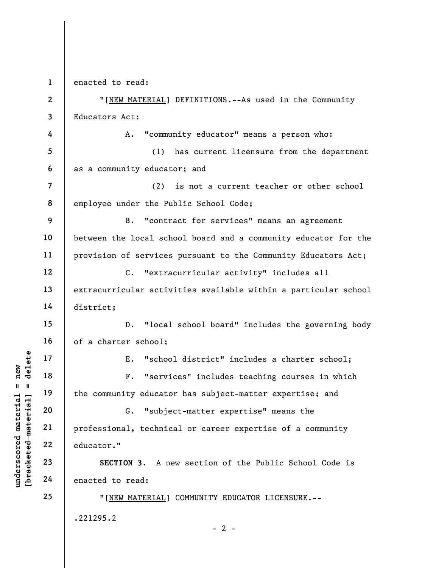1 enacted to read:

underscored material material material material educator material educator."<br>
The community educator of the community educator<br>
wedged to the community educator<br>
21 professional, technic<br>
22 educator."<br>
24 enacted to read: 2 3 4 5 6 7 8 9 10 11 12 13 14 15 16 17 18 19 20 21 22 23 24 25 "[NEW MATERIAL] DEFINITIONS.--As used in the Community Educators Act: A. "community educator" means a person who: (1) has current licensure from the department as a community educator; and (2) is not a current teacher or other school employee under the Public School Code; B. "contract for services" means an agreement between the local school board and a community educator for the provision of services pursuant to the Community Educators Act; C. "extracurricular activity" includes all extracurricular activities available within a particular school district; D. "local school board" includes the governing body of a charter school; E. "school district" includes a charter school; F. "services" includes teaching courses in which the community educator has subject-matter expertise; and G. "subject-matter expertise" means the professional, technical or career expertise of a community educator." SECTION 3. A new section of the Public School Code is enacted to read: "[NEW MATERIAL] COMMUNITY EDUCATOR LICENSURE.-- .221295.2  $- 2 -$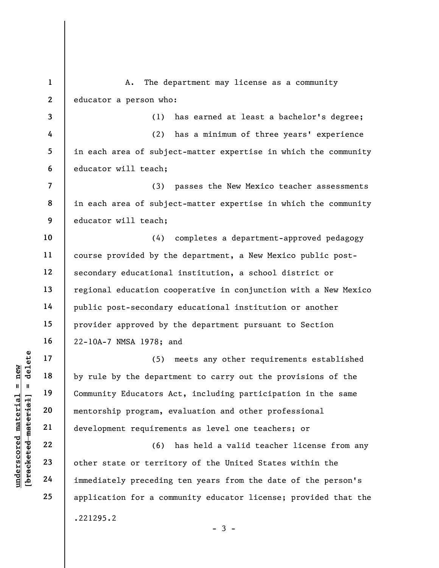underscored material material end and the depart<br>
understand material community Educators A<br>
mentorship program, e<br>
development requireme<br>
22<br>
23<br>
24<br>
immediately preceding 1 2 3 4 5 6 7 8 9 10 11 12 13 14 15 16 17 18 19 20 21 22 23 24 25 A. The department may license as a community educator a person who: (1) has earned at least a bachelor's degree; (2) has a minimum of three years' experience in each area of subject-matter expertise in which the community educator will teach; (3) passes the New Mexico teacher assessments in each area of subject-matter expertise in which the community educator will teach; (4) completes a department-approved pedagogy course provided by the department, a New Mexico public postsecondary educational institution, a school district or regional education cooperative in conjunction with a New Mexico public post-secondary educational institution or another provider approved by the department pursuant to Section 22-10A-7 NMSA 1978; and (5) meets any other requirements established by rule by the department to carry out the provisions of the Community Educators Act, including participation in the same mentorship program, evaluation and other professional development requirements as level one teachers; or (6) has held a valid teacher license from any other state or territory of the United States within the immediately preceding ten years from the date of the person's application for a community educator license; provided that the .221295.2  $-3 -$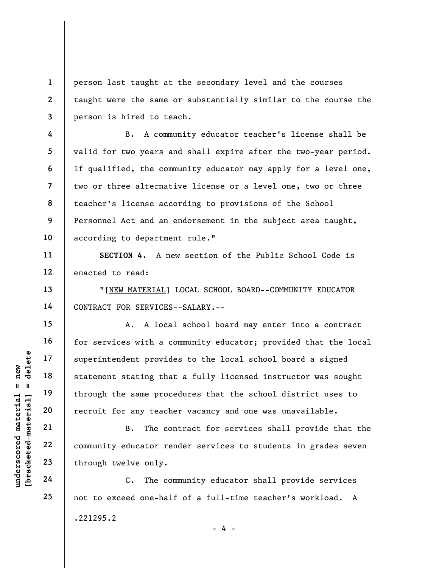person last taught at the secondary level and the courses taught were the same or substantially similar to the course the person is hired to teach.

B. A community educator teacher's license shall be valid for two years and shall expire after the two-year period. If qualified, the community educator may apply for a level one, two or three alternative license or a level one, two or three teacher's license according to provisions of the School Personnel Act and an endorsement in the subject area taught, according to department rule."

SECTION 4. A new section of the Public School Code is enacted to read:

"[NEW MATERIAL] LOCAL SCHOOL BOARD--COMMUNITY EDUCATOR CONTRACT FOR SERVICES--SALARY.--

understating the same provided material of through the same processed material through the same processed material community educator respectively.<br>
The community educator respectively.<br>
The community educator respectively A. A local school board may enter into a contract for services with a community educator; provided that the local superintendent provides to the local school board a signed statement stating that a fully licensed instructor was sought through the same procedures that the school district uses to recruit for any teacher vacancy and one was unavailable.

B. The contract for services shall provide that the community educator render services to students in grades seven through twelve only.

C. The community educator shall provide services not to exceed one-half of a full-time teacher's workload. A .221295.2  $- 4 -$ 

1

2

3

4

5

6

7

8

9

10

11

12

13

14

15

16

17

18

19

20

21

22

23

24

25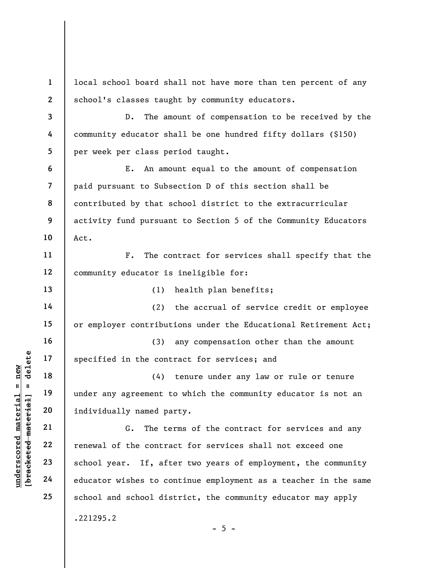under any agreement to the contrate material of the contrate and the contrate material contrate and the contrate and the contrate and the contrate and the contrate and the contrate and the contrate and the contrate and the 1 2 3 4 5 6 7 8 9 10 11 12 13 14 15 16 17 18 19 20 21 22 23 24 25 local school board shall not have more than ten percent of any school's classes taught by community educators. D. The amount of compensation to be received by the community educator shall be one hundred fifty dollars (\$150) per week per class period taught. E. An amount equal to the amount of compensation paid pursuant to Subsection D of this section shall be contributed by that school district to the extracurricular activity fund pursuant to Section 5 of the Community Educators Act. F. The contract for services shall specify that the community educator is ineligible for: (1) health plan benefits; (2) the accrual of service credit or employee or employer contributions under the Educational Retirement Act; (3) any compensation other than the amount specified in the contract for services; and (4) tenure under any law or rule or tenure under any agreement to which the community educator is not an individually named party. G. The terms of the contract for services and any renewal of the contract for services shall not exceed one school year. If, after two years of employment, the community educator wishes to continue employment as a teacher in the same school and school district, the community educator may apply .221295.2  $- 5 -$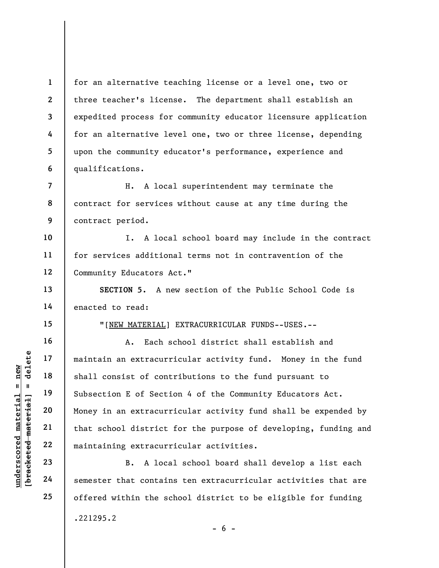for an alternative teaching license or a level one, two or three teacher's license. The department shall establish an expedited process for community educator licensure application for an alternative level one, two or three license, depending upon the community educator's performance, experience and qualifications.

7 8 9 H. A local superintendent may terminate the contract for services without cause at any time during the contract period.

10 11 12 I. A local school board may include in the contract for services additional terms not in contravention of the Community Educators Act."

SECTION 5. A new section of the Public School Code is enacted to read:

"[NEW MATERIAL] EXTRACURRICULAR FUNDS--USES.--

underscored material = new [bracketed material] = delete A. Each school district shall establish and maintain an extracurricular activity fund. Money in the fund shall consist of contributions to the fund pursuant to Subsection E of Section 4 of the Community Educators Act. Money in an extracurricular activity fund shall be expended by that school district for the purpose of developing, funding and maintaining extracurricular activities.

B. A local school board shall develop a list each semester that contains ten extracurricular activities that are offered within the school district to be eligible for funding .221295.2  $- 6 -$ 

1

2

3

4

5

6

13

14

15

16

17

18

19

20

21

22

23

24

25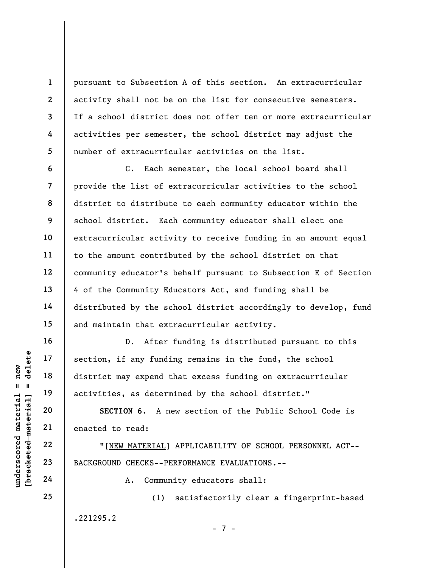pursuant to Subsection A of this section. An extracurricular activity shall not be on the list for consecutive semesters. If a school district does not offer ten or more extracurricular activities per semester, the school district may adjust the number of extracurricular activities on the list.

C. Each semester, the local school board shall provide the list of extracurricular activities to the school district to distribute to each community educator within the school district. Each community educator shall elect one extracurricular activity to receive funding in an amount equal to the amount contributed by the school district on that community educator's behalf pursuant to Subsection E of Section 4 of the Community Educators Act, and funding shall be distributed by the school district accordingly to develop, fund and maintain that extracurricular activity.

UNE DESCRIPTER 24<br>
UNE DESCRIPTER 20<br>
UNE DESCRIPTER 20<br>
UNE DESCRIPTER 22<br>
UNE DESCRIPTER 22<br>
UNE DESCRIPTER 23<br>
UNE DESCRIPTER 24<br>
DESCRIPTER 24<br>
DESCRIPTER 24<br>
A. Commun D. After funding is distributed pursuant to this section, if any funding remains in the fund, the school district may expend that excess funding on extracurricular activities, as determined by the school district."

SECTION 6. A new section of the Public School Code is enacted to read:

"[NEW MATERIAL] APPLICABILITY OF SCHOOL PERSONNEL ACT-- BACKGROUND CHECKS--PERFORMANCE EVALUATIONS.--

A. Community educators shall:

(1) satisfactorily clear a fingerprint-based .221295.2

- 7 -

1

2

3

4

5

6

7

8

9

10

11

12

13

14

15

16

17

18

19

20

21

22

23

24

25